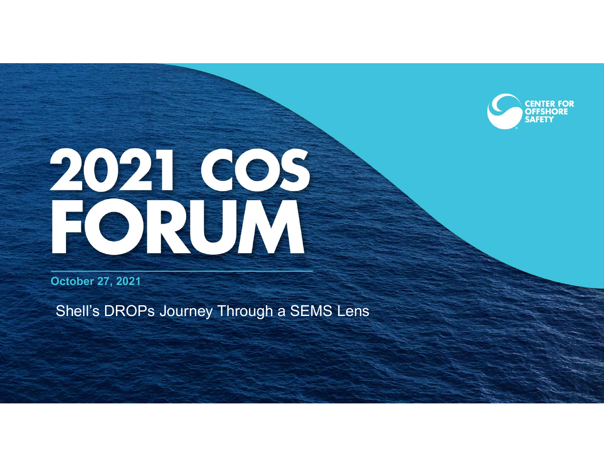

# 2021 COS

**October 27, 2021**

Shell's DROPs Journey Through a SEMS Lens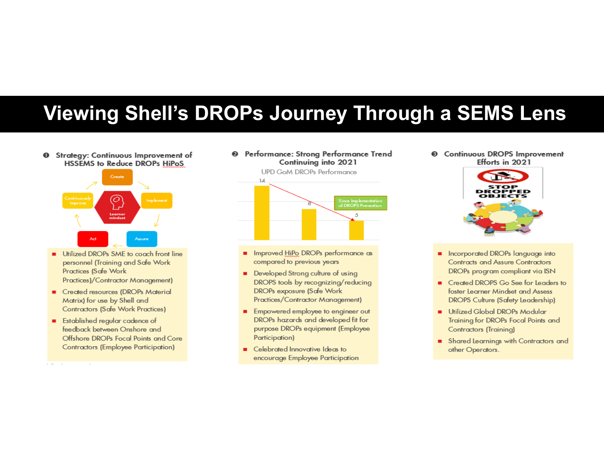### **Viewing Shell's DROPs Journey Through a SEMS Lens**

Strategy: Continuous Improvement of  $\bullet$ **HSSEMS to Reduce DROPs HiPoS** 



- Utilized DROPs SME to coach front line personnel (Training and Safe Work Practices (Safe Work Practices)/Contractor Management)
- Created resources (DROPs Material Matrix) for use by Shell and Contractors (Safe Work Practices)
- **Established regular cadence of** feedback between Onshore and Offshore DROPs Focal Points and Core Contractors (Employee Participation)

<sup>2</sup> Performance: Strong Performance Trend Continuing into 2021



- Improved HiPo DROPs performance as compared to previous years
- Developed Strong culture of using DROPS tools by recognizing/reducing DROPs exposure (Safe Work Practices/Contractor Management)
- **Empowered employee to engineer out** DROPs hazards and developed fit for purpose DROPs equipment (Employee Participation)
- Celebrated Innovative Ideas to encourage Employee Participation

**Continuous DROPS Improvement** ❸ Efforts in 2021



- Incorporated DROPs language into **Contracts and Assure Contractors** DROPs program compliant via ISN
- Created DROPS Go See for Leaders to foster Learner Mindset and Assess DROPS Culture (Safety Leadership)
- Utilized Global DROPs Modular Training for DROPs Focal Points and Contractors (Training)
- Shared Learnings with Contractors and other Operators.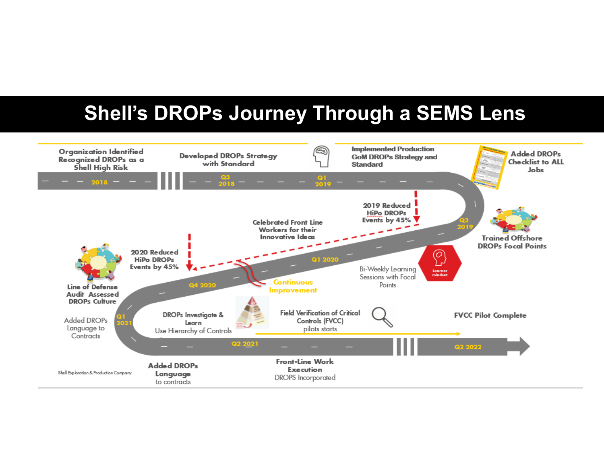## **Shell's DROPs Journey Through a SEMS Lens**